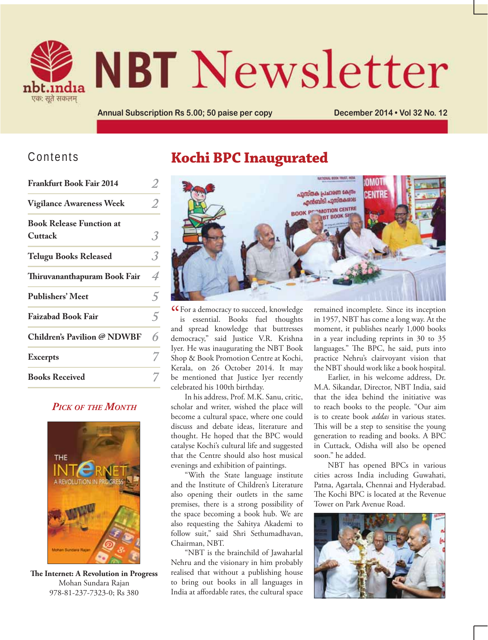

# **NBT** Newsletter

Annual Subscription Rs 5.00; 50 paise per copy **December 2014 . Vol 32 No. 12** 

#### Contents

| <b>Frankfurt Book Fair 2014</b>            |   |
|--------------------------------------------|---|
| <b>Vigilance Awareness Week</b>            | 2 |
| <b>Book Release Function at</b><br>Cuttack | 3 |
| <b>Telugu Books Released</b>               | 3 |
| Thiruvananthapuram Book Fair               | 4 |
| <b>Publishers' Meet</b>                    | 5 |
| <b>Faizabad Book Fair</b>                  | 5 |
| <b>Children's Pavilion @ NDWBF</b>         | 6 |
| <b>Excerpts</b>                            |   |
| <b>Books Received</b>                      |   |

#### *PICK OF THE MONTH*



**The Internet: A Revolution in Progress** Mohan Sundara Rajan 978-81-237-7323-0; Rs 380

# **Kochi BPC Inaugurated**



**CF** or a democracy to succeed, knowledge<br>
is essential. Books fuel thoughts is essential. Books fuel thoughts and spread knowledge that buttresses democracy," said Justice V.R. Krishna Iyer. He was inaugurating the NBT Book Shop & Book Promotion Centre at Kochi, Kerala, on 26 October 2014. It may be mentioned that Justice Iyer recently celebrated his 100th birthday.

In his address, Prof. M.K. Sanu, critic, scholar and writer, wished the place will become a cultural space, where one could discuss and debate ideas, literature and thought. He hoped that the BPC would catalyse Kochi's cultural life and suggested that the Centre should also host musical evenings and exhibition of paintings.

"With the State language institute and the Institute of Children's Literature also opening their outlets in the same premises, there is a strong possibility of the space becoming a book hub. We are also requesting the Sahitya Akademi to follow suit," said Shri Sethumadhavan, Chairman, NBT.

"NBT is the brainchild of Jawaharlal Nehru and the visionary in him probably realised that without a publishing house to bring out books in all languages in India at affordable rates, the cultural space remained incomplete. Since its inception in 1957, NBT has come a long way. At the moment, it publishes nearly 1,000 books in a year including reprints in 30 to 35 languages." The BPC, he said, puts into practice Nehru's clairvoyant vision that the NBT should work like a book hospital.

Earlier, in his welcome address, Dr. M.A. Sikandar, Director, NBT India, said that the idea behind the initiative was to reach books to the people. "Our aim is to create book *addas* in various states. This will be a step to sensitise the young generation to reading and books. A BPC in Cuttack, Odisha will also be opened soon." he added.

NBT has opened BPCs in various cities across India including Guwahati, Patna, Agartala, Chennai and Hyderabad. The Kochi BPC is located at the Revenue Tower on Park Avenue Road.

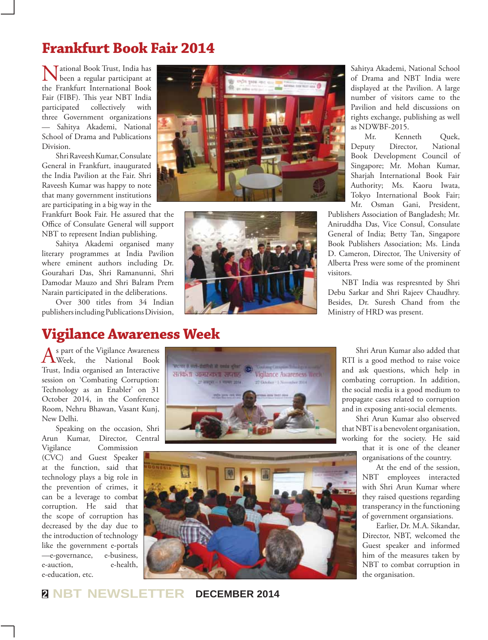# **Frankfurt Book Fair 2014**

National Book Trust, India has been a regular participant at the Frankfurt International Book Fair (FIBF). This year NBT India participated collectively with three Government organizations — Sahitya Akademi, National School of Drama and Publications Division.

Shri Raveesh Kumar, Consulate General in Frankfurt, inaugurated the India Pavilion at the Fair. Shri Raveesh Kumar was happy to note that many government institutions are participating in a big way in the

Frankfurt Book Fair. He assured that the Office of Consulate General will support NBT to represent Indian publishing.

Sahitya Akademi organised many literary programmes at India Pavilion where eminent authors including Dr. Gourahari Das, Shri Ramanunni, Shri Damodar Mauzo and Shri Balram Prem Narain participated in the deliberations.

Over 300 titles from 34 Indian publishers including Publications Division,

# **Vigilance Awareness Week**

As part of the Vigilance Awareness<br>Week, the National Book Trust, India organised an Interactive session on 'Combating Corruption: Technology as an Enabler' on 31 October 2014, in the Conference Room, Nehru Bhawan, Vasant Kunj, New Delhi.

Speaking on the occasion, Shri Arun Kumar, Director, Central

Vigilance Commission (CVC) and Guest Speaker at the function, said that technology plays a big role in the prevention of crimes, it can be a leverage to combat corruption. He said that the scope of corruption has decreased by the day due to the introduction of technology like the government e-portals —e-governance, e-business, e-auction, e-health, e-education, etc.





Sahitya Akademi, National School of Drama and NBT India were displayed at the Pavilion. A large number of visitors came to the Pavilion and held discussions on rights exchange, publishing as well as NDWBF-2015.

Mr. Kenneth Quek, Deputy Director, National Book Development Council of Singapore; Mr. Mohan Kumar, Sharjah International Book Fair Authority; Ms. Kaoru Iwata, Tokyo International Book Fair; Mr. Osman Gani, President,

Publishers Association of Bangladesh; Mr. Aniruddha Das, Vice Consul, Consulate General of India; Betty Tan, Singapore Book Publishers Association; Ms. Linda D. Cameron, Director, The University of Alberta Press were some of the prominent visitors.

NBT India was respresnted by Shri Debu Sarkar and Shri Rajeev Chaudhry. Besides, Dr. Suresh Chand from the Ministry of HRD was present.





Shri Arun Kumar also added that RTI is a good method to raise voice and ask questions, which help in combating corruption. In addition, the social media is a good medium to propagate cases related to corruption and in exposing anti-social elements.

Shri Arun Kumar also observed that NBT is a benevolent organisation, working for the society. He said

> that it is one of the cleaner organisations of the country.

At the end of the session, NBT employees interacted with Shri Arun Kumar where they raised questions regarding transperancy in the functioning of government organsiations.

Earlier, Dr. M.A. Sikandar, Director, NBT, welcomed the Guest speaker and informed him of the measures taken by NBT to combat corruption in the organisation.

**<sup>2</sup> NBT NEWSLETTER DECEMBER 2014**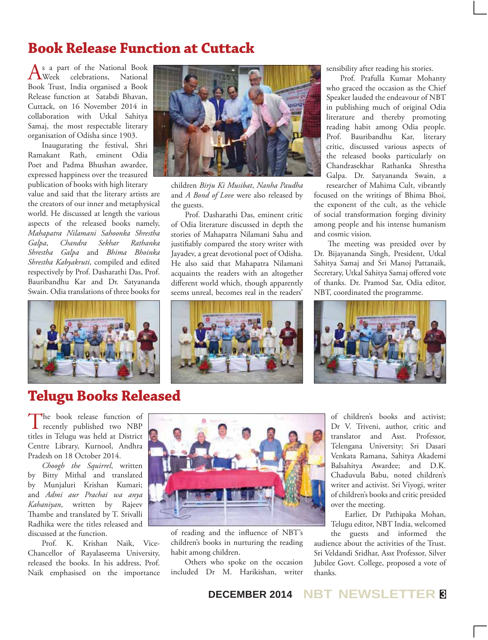# **Book Release Function at Cuttack**

As a part of the National Book<br>
Week celebrations, National Book Trust, India organised a Book Release function at Satabdi Bhavan, Cuttack, on 16 November 2014 in collaboration with Utkal Sahitya Samaj, the most respectable literary organisation of Odisha since 1903.

Inaugurating the festival, Shri Ramakant Rath, eminent Odia Poet and Padma Bhushan awardee, expressed happiness over the treasured publication of books with high literary

value and said that the literary artists are the creators of our inner and metaphysical world. He discussed at length the various aspects of the released books namely, *Mahapatra Nilamani Sahoonka Shrestha Galpa*, *Chandra Sekhar Rathanka Shrestha Galpa* and *Bhima Bhoinka Shrestha Kabyakruti*, compiled and edited respectively by Prof. Dasharathi Das, Prof. Bauribandhu Kar and Dr. Satyananda Swain. Odia translations of three books for



# **Telugu Books Released**

The book release function of<br>recently published two NBP titles in Telugu was held at District Centre Library, Kurnool, Andhra Pradesh on 18 October 2014.

*Choogh the Squirrel*, written by Bitty Mithal and translated by Munjaluri Krishan Kumari; and *Admi aur Prachai wa anya Kahaniyan*, written by Rajeev Thambe and translated by T. Srivalli Radhika were the titles released and discussed at the function.

Prof. K. Krishan Naik, Vice-Chancellor of Rayalaseema University, released the books. In his address, Prof. Naik emphasised on the importance



children *Birju Ki Musibat*, *Nanha Paudha*  and *A Bond of Love* were also released by the guests.

Prof. Dasharathi Das, eminent critic of Odia literature discussed in depth the stories of Mahapatra Nilamani Sahu and justifiably compared the story writer with Jayadev, a great devotional poet of Odisha. He also said that Mahapatra Nilamani acquaints the readers with an altogether different world which, though apparently seems unreal, becomes real in the readers'



sensibility after reading his stories.

Prof. Prafulla Kumar Mohanty who graced the occasion as the Chief Speaker lauded the endeavour of NBT in publishing much of original Odia literature and thereby promoting reading habit among Odia people. Prof. Bauribandhu Kar, literary critic, discussed various aspects of the released books particularly on Chandrasekhar Rathanka Shrestha Galpa. Dr. Satyananda Swain, a researcher of Mahima Cult, vibrantly

focused on the writings of Bhima Bhoi, the exponent of the cult, as the vehicle of social transformation forging divinity among people and his intense humanism and cosmic vision.

The meeting was presided over by Dr. Bijayananda Singh, President, Utkal Sahitya Samaj and Sri Manoj Pattanaik, Secretary, Utkal Sahitya Samaj offered vote of thanks. Dr. Pramod Sar, Odia editor, NBT, coordinated the programme.





of reading and the influence of NBT's children's books in nurturing the reading habit among children.

Others who spoke on the occasion included Dr M. Harikishan, writer of children's books and activist; Dr V. Triveni, author, critic and translator and Asst. Professor, Telengana University; Sri Dasari Venkata Ramana, Sahitya Akademi Balsahitya Awardee; and D.K. Chaduvula Babu, noted children's writer and activist. Sri Viyogi, writer of children's books and critic presided over the meeting.

Earlier, Dr Pathipaka Mohan, Telugu editor, NBT India, welcomed

the guests and informed the audience about the activities of the Trust. Sri Veldandi Sridhar, Asst Professor, Silver Jubilee Govt. College, proposed a vote of thanks.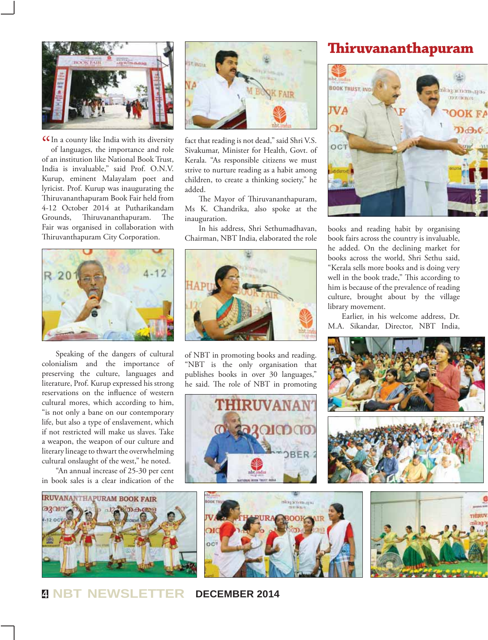

**CC**In a county like India with its diversity<br>of languages, the importance and role of languages, the importance and role of an institution like National Book Trust, India is invaluable," said Prof. O.N.V. Kurup, eminent Malayalam poet and lyricist. Prof. Kurup was inaugurating the Thiruvananthapuram Book Fair held from 4-12 October 2014 at Putharikandam Grounds, Thiruvananthapuram. The Fair was organised in collaboration with Thiruvanthapuram City Corporation.



Speaking of the dangers of cultural colonialism and the importance of preserving the culture, languages and literature, Prof. Kurup expressed his strong reservations on the influence of western cultural mores, which according to him, "is not only a bane on our contemporary life, but also a type of enslavement, which if not restricted will make us slaves. Take a weapon, the weapon of our culture and literary lineage to thwart the overwhelming cultural onslaught of the west," he noted.

"An annual increase of 25-30 per cent in book sales is a clear indication of the





fact that reading is not dead," said Shri V.S. Sivakumar, Minister for Health, Govt. of Kerala. "As responsible citizens we must strive to nurture reading as a habit among children, to create a thinking society," he added.

The Mayor of Thiruvananthapuram, Ms K. Chandrika, also spoke at the inauguration.

In his address, Shri Sethumadhavan, Chairman, NBT India, elaborated the role



of NBT in promoting books and reading. "NBT is the only organisation that publishes books in over 30 languages," he said. The role of NBT in promoting



#### **Thiruvananthapuram**



books and reading habit by organising book fairs across the country is invaluable, he added. On the declining market for books across the world, Shri Sethu said, "Kerala sells more books and is doing very well in the book trade," This according to him is because of the prevalence of reading culture, brought about by the village library movement.

Earlier, in his welcome address, Dr. M.A. Sikandar, Director, NBT India,





THIRUV

**<sup>4</sup> NBT NEWSLETTER DECEMBER 2014**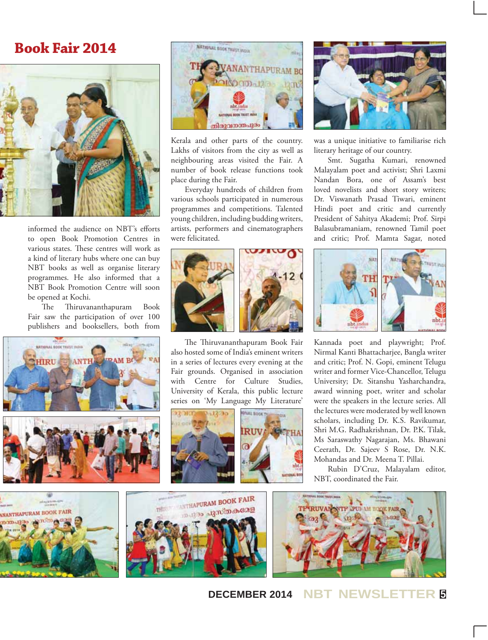#### **Book Fair 2014**



informed the audience on NBT's efforts to open Book Promotion Centres in various states. These centres will work as a kind of literary hubs where one can buy NBT books as well as organise literary programmes. He also informed that a NBT Book Promotion Centre will soon be opened at Kochi.

The Thiruvananthapuram Book Fair saw the participation of over 100 publishers and booksellers, both from







Kerala and other parts of the country. Lakhs of visitors from the city as well as neighbouring areas visited the Fair. A number of book release functions took place during the Fair.

Everyday hundreds of children from various schools participated in numerous programmes and competitions. Talented young children, including budding writers, artists, performers and cinematographers were felicitated.



The Thiruvananthapuram Book Fair also hosted some of India's eminent writers in a series of lectures every evening at the Fair grounds. Organised in association with Centre for Culture Studies, University of Kerala, this public lecture series on 'My Language My Literature'







was a unique initiative to familiarise rich literary heritage of our country.

Smt. Sugatha Kumari, renowned Malayalam poet and activist; Shri Laxmi Nandan Bora, one of Assam's best loved novelists and short story writers; Dr. Viswanath Prasad Tiwari, eminent Hindi poet and critic and currently President of Sahitya Akademi; Prof. Sirpi Balasubramaniam, renowned Tamil poet and critic; Prof. Mamta Sagar, noted



Kannada poet and playwright; Prof. Nirmal Kanti Bhattacharjee, Bangla writer and critic; Prof. N. Gopi, eminent Telugu writer and former Vice-Chancellor, Telugu University; Dr. Sitanshu Yasharchandra, award winning poet, writer and scholar were the speakers in the lecture series. All the lectures were moderated by well known scholars, including Dr. K.S. Ravikumar, Shri M.G. Radhakrishnan, Dr. P.K. Tilak, Ms Saraswathy Nagarajan, Ms. Bhawani Ceerath, Dr. Sajeev S Rose, Dr. N.K. Mohandas and Dr. Meena T. Pillai.

Rubin D'Cruz, Malayalam editor, NBT, coordinated the Fair.







**DECEMBER 2014 NBT NEWSLETTER <sup>5</sup>**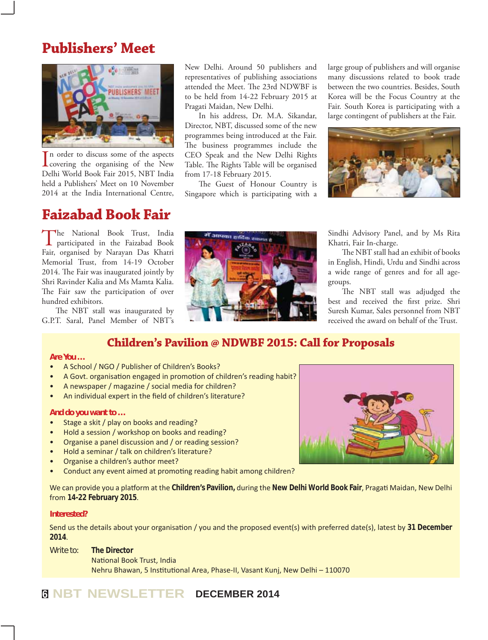#### **Publishers' Meet**



 $\prod$ n order to discuss some of the aspects<br>covering the organising of the New n order to discuss some of the aspects Delhi World Book Fair 2015, NBT India held a Publishers' Meet on 10 November 2014 at the India International Centre,

### **Faizabad Book Fair**

The National Book Trust, India participated in the Faizabad Book Fair, organised by Narayan Das Khatri Memorial Trust, from 14-19 October 2014. The Fair was inaugurated jointly by Shri Ravinder Kalia and Ms Mamta Kalia. The Fair saw the participation of over hundred exhibitors.

The NBT stall was inaugurated by G.P.T. Saral, Panel Member of NBT's New Delhi. Around 50 publishers and representatives of publishing associations attended the Meet. The 23rd NDWBF is to be held from 14-22 February 2015 at Pragati Maidan, New Delhi.

In his address, Dr. M.A. Sikandar, Director, NBT, discussed some of the new programmes being introduced at the Fair. The business programmes include the CEO Speak and the New Delhi Rights Table. The Rights Table will be organised from 17-18 February 2015.

The Guest of Honour Country is Singapore which is participating with a large group of publishers and will organise many discussions related to book trade between the two countries. Besides, South Korea will be the Focus Country at the Fair. South Korea is participating with a large contingent of publishers at the Fair.



Sindhi Advisory Panel, and by Ms Rita Khatri, Fair In-charge.

The NBT stall had an exhibit of books in English, Hindi, Urdu and Sindhi across a wide range of genres and for all agegroups.

The NBT stall was adjudged the best and received the first prize. Shri Suresh Kumar, Sales personnel from NBT received the award on behalf of the Trust.

#### **Children's Pavilion @ NDWBF 2015: Call for Proposals**

#### *Are You …*

- A School / NGO / Publisher of Children's Books?
- A Govt. organisation engaged in promotion of children's reading habit?
- A newspaper / magazine / social media for children?
- An individual expert in the field of children's literature?

#### *And do you want to …*

- Stage a skit / play on books and reading?
- Hold a session / workshop on books and reading?
- Organise a panel discussion and / or reading session?
- Hold a seminar / talk on children's literature?
- Organise a children's author meet?
- Conduct any event aimed at promoting reading habit among children?

We can provide you a platform at the Children's Pavilion, during the New Delhi World Book Fair, Pragati Maidan, New Delhi from 14-22 February 2015.

#### *Interested?*

Send us the details about your organisation / you and the proposed event(s) with preferred date(s), latest by 31 December **2014**͘

*Write to:* **The Director** National Book Trust, India Nehru Bhawan, 5 Institutional Area, Phase-II, Vasant Kunj, New Delhi - 110070

#### **<sup>6</sup> NBT NEWSLETTER DECEMBER 2014**

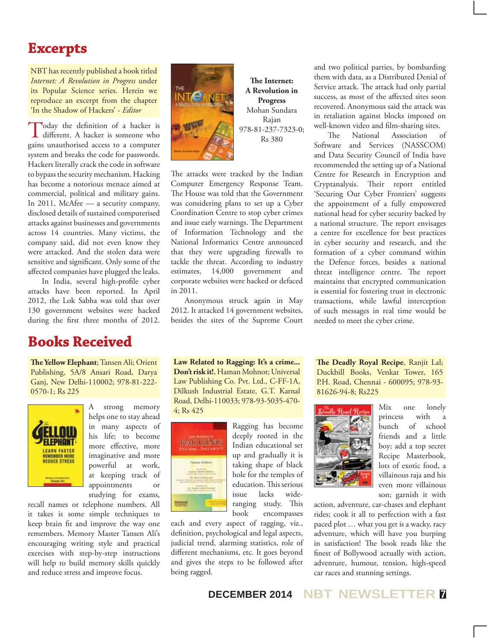### **Excerpts**

NBT has recently published a book titled *Internet: A Revolution in Progress* under its Popular Science series. Herein we reproduce an excerpt from the chapter 'In the Shadow of Hackers' - *Editor*

Today the definition of a hacker is different. A hacker is someone who gains unauthorised access to a computer system and breaks the code for passwords. Hackers literally crack the code in software to bypass the security mechanism. Hacking has become a notorious menace aimed at commercial, political and military gains. In 2011, McAfee — a security company, disclosed details of sustained computerised attacks against businesses and governments across 14 countries. Many victims, the company said, did not even know they were attacked. And the stolen data were sensitive and significant. Only some of the affected companies have plugged the leaks.

In India, several high-profile cyber attacks have been reported. In April 2012, the Lok Sabha was told that over 130 government websites were hacked during the first three months of 2012.

# **Books Received**

**The Yellow Elephant**; Tansen Ali; Orient Publishing, 5A/8 Ansari Road, Darya Ganj, New Delhi-110002; 978-81-222- 0570-1; Rs 225



A strong memory helps one to stay ahead in many aspects of his life; to become more effective, more imaginative and more powerful at work, at keeping track of appointments or studying for exams,

recall names or telephone numbers. All it takes is some simple techniques to keep brain fit and improve the way one remembers. Memory Master Tansen Ali's encouraging writing style and practical exercises with step-by-step instructions will help to build memory skills quickly and reduce stress and improve focus.



**The Internet: A Revolution in Progress** Mohan Sundara Rajan 978-81-237-7323-0; Rs 380

The attacks were tracked by the Indian Computer Emergency Response Team. The House was told that the Government was considering plans to set up a Cyber Coordination Centre to stop cyber crimes and issue early warnings. The Department of Information Technology and the National Informatics Centre announced that they were upgrading firewalls to tackle the threat. According to industry estimates, 14,000 government and corporate websites were hacked or defaced in 2011.

Anonymous struck again in May 2012. It attacked 14 government websites, besides the sites of the Supreme Court

**Law Related to Ragging: It's a crime... Don't risk it!**, Haman Mohnot; Universal Law Publishing Co. Pvt. Ltd., C-FF-1A, Dilkush Industrial Estate, G.T. Karnal Road, Delhi-110033; 978-93-5035-470- 4; Rs 425



Ragging has become deeply rooted in the Indian educational set up and gradually it is taking shape of black hole for the temples of education. This serious issue lacks wideranging study. This book encompasses

each and every aspect of ragging, viz., definition, psychological and legal aspects, judicial trend, alarming statistics, role of different mechanisms, etc. It goes beyond and gives the steps to be followed after being ragged.

and two political parties, by bombarding them with data, as a Distributed Denial of Service attack. The attack had only partial success, as most of the affected sites soon recovered. Anonymous said the attack was in retaliation against blocks imposed on well-known video and film-sharing sites.

The National Association of Software and Services (NASSCOM) and Data Security Council of India have recommended the setting up of a National Centre for Research in Encryption and Cryptanalysis. Their report entitled 'Securing Our Cyber Frontiers' suggests the appointment of a fully empowered national head for cyber security backed by a national structure. The report envisages a centre for excellence for best practices in cyber security and research, and the formation of a cyber command within the Defence forces, besides a national threat intelligence centre. The report maintains that encrypted communication is essential for fostering trust in electronic transactions, while lawful interception of such messages in real time would be needed to meet the cyber crime.

**The Deadly Royal Recipe**, Ranjit Lal; Duckbill Books, Venkat Tower, 165 P.H. Road, Chennai - 600095; 978-93- 81626-94-8; Rs225



Mix one lonely princess with a bunch of school friends and a little boy; add a top secret Recipe Masterbook, lots of exotic food, a villainous raja and his even more villainous son; garnish it with

action, adventure, car-chases and elephant rides; cook it all to perfection with a fast paced plot … what you get is a wacky, racy adventure, which will have you burping in satisfaction! The book reads like the finest of Bollywood actually with action, adventure, humour, tension, high-speed car races and stunning settings.

**DECEMBER 2014 NBT NEWSLETTER <sup>7</sup>**